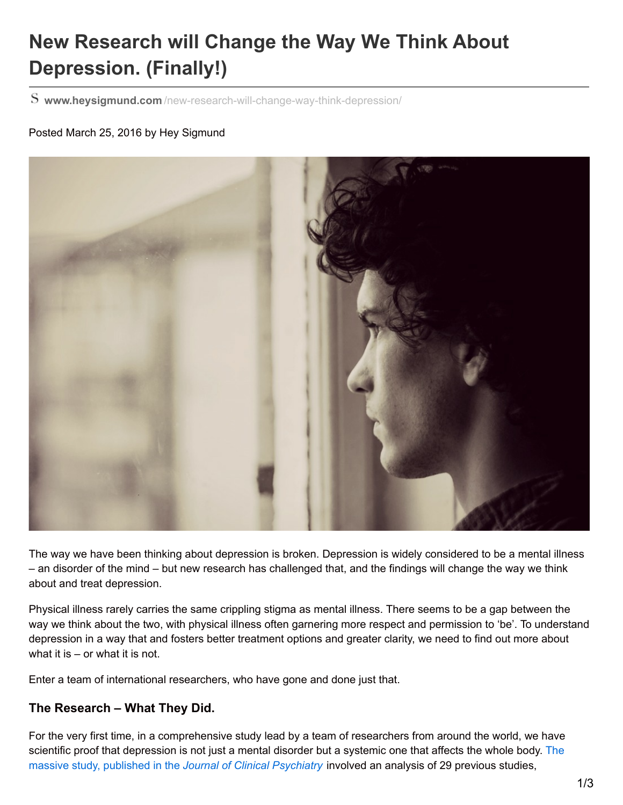# **New Research will Change the Way We Think About Depression. (Finally!)**

**www.heysigmund.com** [/new-research-will-change-way-think-depression/](http://www.heysigmund.com/new-research-will-change-way-think-depression/)

#### Posted March 25, 2016 by Hey Sigmund



The way we have been thinking about depression is broken. Depression is widely considered to be a mental illness – an disorder of the mind – but new research has challenged that, and the findings will change the way we think about and treat depression.

Physical illness rarely carries the same crippling stigma as mental illness. There seems to be a gap between the way we think about the two, with physical illness often garnering more respect and permission to 'be'. To understand depression in a way that and fosters better treatment options and greater clarity, we need to find out more about what it is – or what it is not.

Enter a team of international researchers, who have gone and done just that.

## **The Research – What They Did.**

For the very first time, in a comprehensive study lead by a team of researchers from around the world, we have scientific proof that [depression](http://www.psychiatrist.com/jcp/article/Pages/2015/v76n12/v76n1216.aspx) is not just a mental disorder but a systemic one that affects the whole body. The massive study, published in the *Journal of Clinical Psychiatry* involved an analysis of 29 previous studies,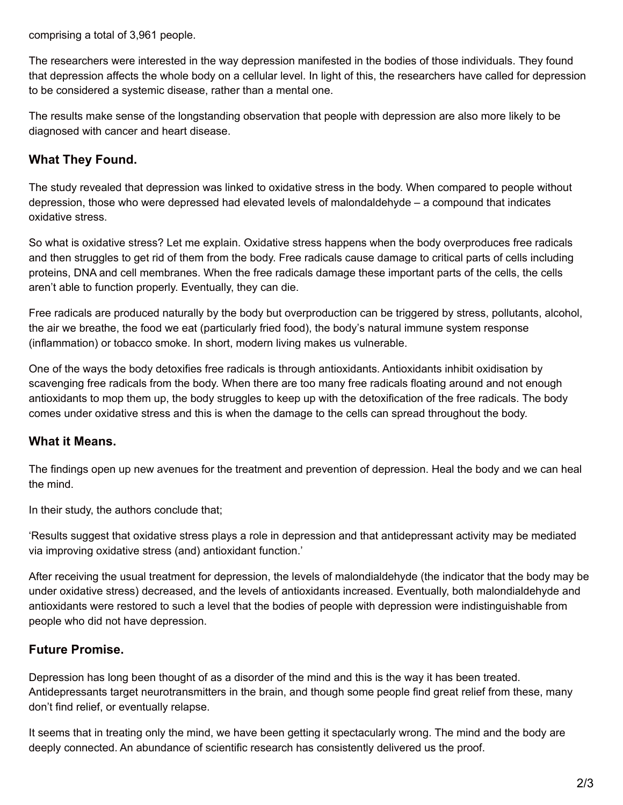comprising a total of 3,961 people.

The researchers were interested in the way depression manifested in the bodies of those individuals. They found that depression affects the whole body on a cellular level. In light of this, the researchers have called for depression to be considered a systemic disease, rather than a mental one.

The results make sense of the longstanding observation that people with depression are also more likely to be diagnosed with cancer and heart disease.

## **What They Found.**

The study revealed that depression was linked to oxidative stress in the body. When compared to people without depression, those who were depressed had elevated levels of malondaldehyde – a compound that indicates oxidative stress.

So what is oxidative stress? Let me explain. Oxidative stress happens when the body overproduces free radicals and then struggles to get rid of them from the body. Free radicals cause damage to critical parts of cells including proteins, DNA and cell membranes. When the free radicals damage these important parts of the cells, the cells aren't able to function properly. Eventually, they can die.

Free radicals are produced naturally by the body but overproduction can be triggered by stress, pollutants, alcohol, the air we breathe, the food we eat (particularly fried food), the body's natural immune system response (inflammation) or tobacco smoke. In short, modern living makes us vulnerable.

One of the ways the body detoxifies free radicals is through antioxidants. Antioxidants inhibit oxidisation by scavenging free radicals from the body. When there are too many free radicals floating around and not enough antioxidants to mop them up, the body struggles to keep up with the detoxification of the free radicals. The body comes under oxidative stress and this is when the damage to the cells can spread throughout the body.

## **What it Means.**

The findings open up new avenues for the treatment and prevention of depression. Heal the body and we can heal the mind.

In their study, the authors conclude that;

'Results suggest that oxidative stress plays a role in depression and that antidepressant activity may be mediated via improving oxidative stress (and) antioxidant function.'

After receiving the usual treatment for depression, the levels of malondialdehyde (the indicator that the body may be under oxidative stress) decreased, and the levels of antioxidants increased. Eventually, both malondialdehyde and antioxidants were restored to such a level that the bodies of people with depression were indistinguishable from people who did not have depression.

## **Future Promise.**

Depression has long been thought of as a disorder of the mind and this is the way it has been treated. Antidepressants target neurotransmitters in the brain, and though some people find great relief from these, many don't find relief, or eventually relapse.

It seems that in treating only the mind, we have been getting it spectacularly wrong. The mind and the body are deeply connected. An abundance of scientific research has consistently delivered us the proof.